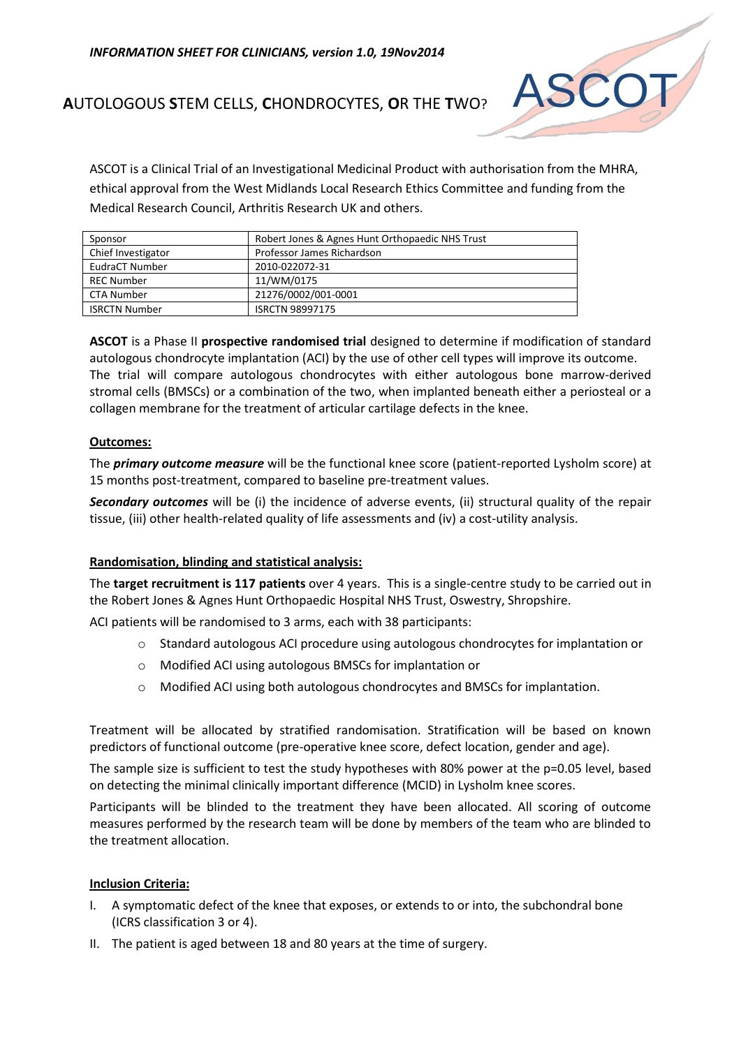

# **A**UTOLOGOUS **S**TEM CELLS, **C**HONDROCYTES, **O**R THE **T**WO?

ASCOT is a Clinical Trial of an Investigational Medicinal Product with authorisation from the MHRA, ethical approval from the West Midlands Local Research Ethics Committee and funding from the Medical Research Council, Arthritis Research UK and others.

| Sponsor              | Robert Jones & Agnes Hunt Orthopaedic NHS Trust |
|----------------------|-------------------------------------------------|
| Chief Investigator   | Professor James Richardson                      |
| EudraCT Number       | 2010-022072-31                                  |
| <b>REC Number</b>    | 11/WM/0175                                      |
| CTA Number           | 21276/0002/001-0001                             |
| <b>ISRCTN Number</b> | <b>ISRCTN 98997175</b>                          |

**ASCOT** is a Phase II **prospective randomised trial** designed to determine if modification of standard autologous chondrocyte implantation (ACI) by the use of other cell types will improve its outcome. The trial will compare autologous chondrocytes with either autologous bone marrow-derived stromal cells (BMSCs) or a combination of the two, when implanted beneath either a periosteal or a collagen membrane for the treatment of articular cartilage defects in the knee.

## **Outcomes:**

The *primary outcome measure* will be the functional knee score (patient-reported Lysholm score) at 15 months post-treatment, compared to baseline pre-treatment values.

*Secondary outcomes* will be (i) the incidence of adverse events, (ii) structural quality of the repair tissue, (iii) other health-related quality of life assessments and (iv) a cost-utility analysis.

# **Randomisation, blinding and statistical analysis:**

The **target recruitment is 117 patients** over 4 years. This is a single-centre study to be carried out in the Robert Jones & Agnes Hunt Orthopaedic Hospital NHS Trust, Oswestry, Shropshire.

ACI patients will be randomised to 3 arms, each with 38 participants:

- o Standard autologous ACI procedure using autologous chondrocytes for implantation or
- o Modified ACI using autologous BMSCs for implantation or
- o Modified ACI using both autologous chondrocytes and BMSCs for implantation.

Treatment will be allocated by stratified randomisation. Stratification will be based on known predictors of functional outcome (pre-operative knee score, defect location, gender and age).

The sample size is sufficient to test the study hypotheses with 80% power at the p=0.05 level, based on detecting the minimal clinically important difference (MCID) in Lysholm knee scores.

Participants will be blinded to the treatment they have been allocated. All scoring of outcome measures performed by the research team will be done by members of the team who are blinded to the treatment allocation.

#### **Inclusion Criteria:**

- I. A symptomatic defect of the knee that exposes, or extends to or into, the subchondral bone (ICRS classification 3 or 4).
- II. The patient is aged between 18 and 80 years at the time of surgery.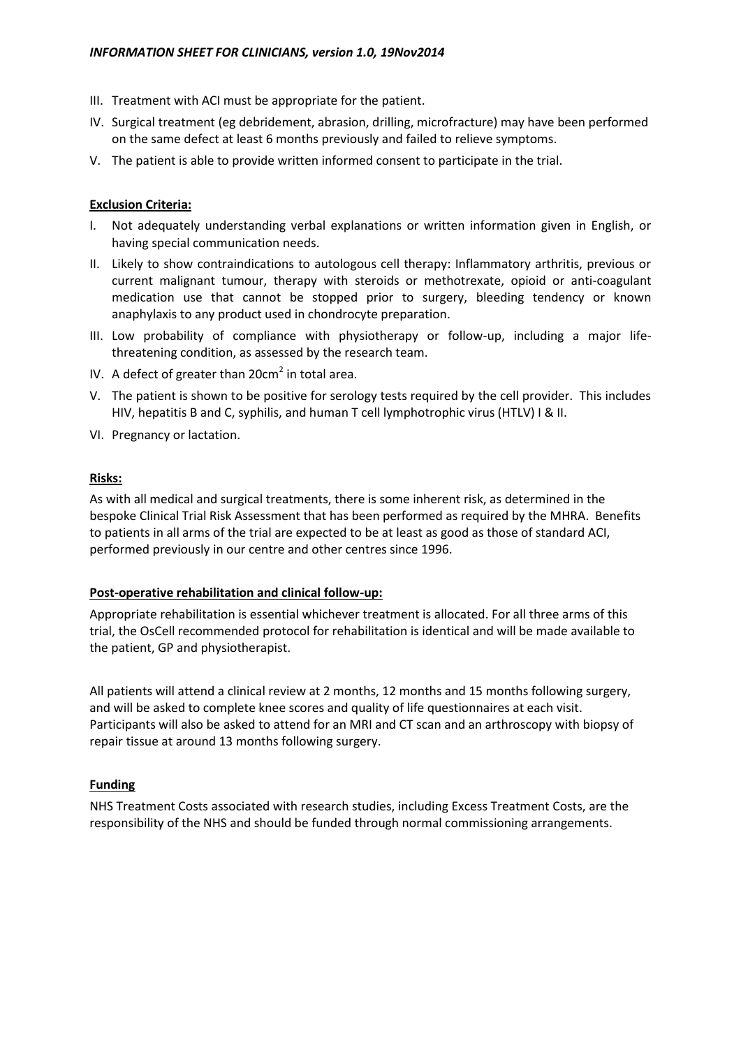- III. Treatment with ACI must be appropriate for the patient.
- IV. Surgical treatment (eg debridement, abrasion, drilling, microfracture) may have been performed on the same defect at least 6 months previously and failed to relieve symptoms.
- V. The patient is able to provide written informed consent to participate in the trial.

## **Exclusion Criteria:**

- I. Not adequately understanding verbal explanations or written information given in English, or having special communication needs.
- II. Likely to show contraindications to autologous cell therapy: Inflammatory arthritis, previous or current malignant tumour, therapy with steroids or methotrexate, opioid or anti-coagulant medication use that cannot be stopped prior to surgery, bleeding tendency or known anaphylaxis to any product used in chondrocyte preparation.
- III. Low probability of compliance with physiotherapy or follow-up, including a major lifethreatening condition, as assessed by the research team.
- IV. A defect of greater than  $20 \text{cm}^2$  in total area.
- V. The patient is shown to be positive for serology tests required by the cell provider. This includes HIV, hepatitis B and C, syphilis, and human T cell lymphotrophic virus (HTLV) I & II.
- VI. Pregnancy or lactation.

## **Risks:**

As with all medical and surgical treatments, there is some inherent risk, as determined in the bespoke Clinical Trial Risk Assessment that has been performed as required by the MHRA. Benefits to patients in all arms of the trial are expected to be at least as good as those of standard ACI, performed previously in our centre and other centres since 1996.

#### **Post-operative rehabilitation and clinical follow-up:**

Appropriate rehabilitation is essential whichever treatment is allocated. For all three arms of this trial, the OsCell recommended protocol for rehabilitation is identical and will be made available to the patient, GP and physiotherapist.

All patients will attend a clinical review at 2 months, 12 months and 15 months following surgery, and will be asked to complete knee scores and quality of life questionnaires at each visit. Participants will also be asked to attend for an MRI and CT scan and an arthroscopy with biopsy of repair tissue at around 13 months following surgery.

# **Funding**

NHS Treatment Costs associated with research studies, including Excess Treatment Costs, are the responsibility of the NHS and should be funded through normal commissioning arrangements.